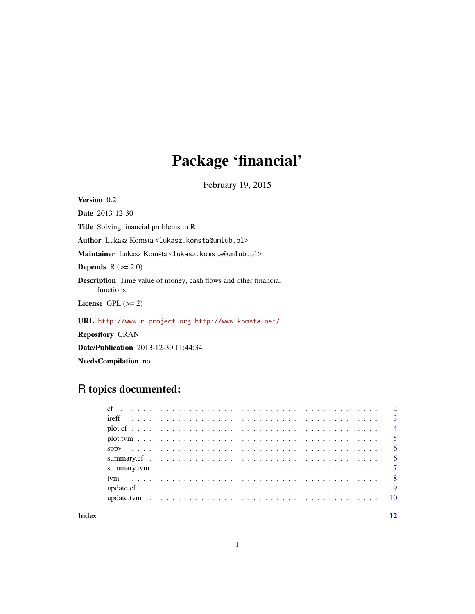## Package 'financial'

February 19, 2015

<span id="page-0-0"></span>Version 0.2

Date 2013-12-30 Title Solving financial problems in R

Author Lukasz Komsta<lukasz.komsta@umlub.pl>

Maintainer Lukasz Komsta<lukasz.komsta@umlub.pl>

Depends  $R$  ( $>= 2.0$ )

Description Time value of money, cash flows and other financial functions.

License GPL  $(>= 2)$ 

URL <http://www.r-project.org>, <http://www.komsta.net/>

Repository CRAN

Date/Publication 2013-12-30 11:44:34

NeedsCompilation no

## R topics documented:

#### **Index** [12](#page-11-0)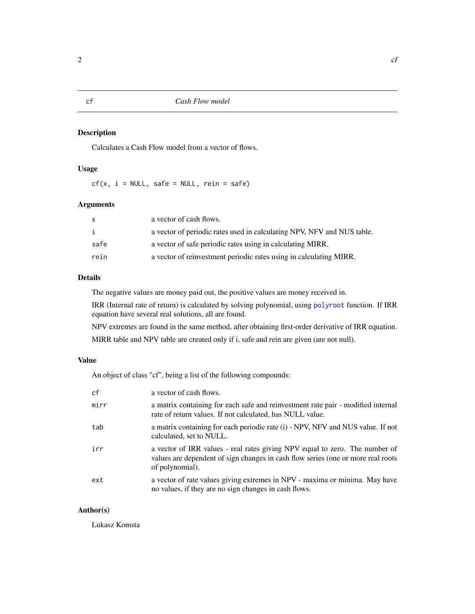Calculates a Cash Flow model from a vector of flows.

## Usage

 $cf(x, i = NULL, safe = NULL, rein = safe)$ 

#### Arguments

| x    | a vector of cash flows.                                                |
|------|------------------------------------------------------------------------|
| i    | a vector of periodic rates used in calculating NPV, NFV and NUS table. |
| safe | a vector of safe periodic rates using in calculating MIRR.             |
| rein | a vector of reinvestment periodic rates using in calculating MIRR.     |

## Details

The negative values are money paid out, the positive values are money received in.

IRR (Internal rate of return) is calculated by solving polynomial, using [polyroot](#page-0-0) function. If IRR equation have several real solutions, all are found.

NPV extremes are found in the same method, after obtaining first-order derivative of IRR equation.

MIRR table and NPV table are created only if i, safe and rein are given (are not null).

#### Value

An object of class "cf", being a list of the following compounds:

| cf   | a vector of cash flows.                                                                                                                                                             |
|------|-------------------------------------------------------------------------------------------------------------------------------------------------------------------------------------|
| mirr | a matrix containing for each safe and reinvestment rate pair - modified internal<br>rate of return values. If not calculated, has NULL value.                                       |
| tab  | a matrix containing for each periodic rate (i) - NPV, NFV and NUS value. If not<br>calculated, set to NULL.                                                                         |
| irr  | a vector of IRR values - real rates giving NPV equal to zero. The number of<br>values are dependent of sign changes in cash flow series (one or more real roots)<br>of polynomial). |
| ext  | a vector of rate values giving extremes in NPV - maxima or minima. May have<br>no values, if they are no sign changes in cash flows.                                                |

#### Author(s)

Lukasz Komsta

<span id="page-1-1"></span><span id="page-1-0"></span>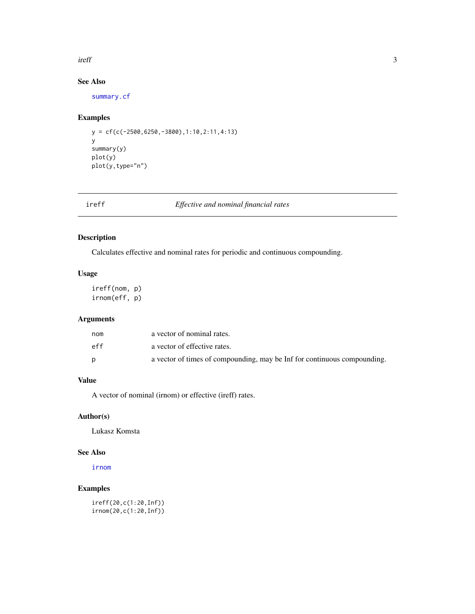#### <span id="page-2-0"></span>ireff 3

## See Also

[summary.cf](#page-5-1)

#### Examples

y = cf(c(-2500,6250,-3800),1:10,2:11,4:13) y summary(y) plot(y) plot(y,type="n")

| ٠<br>٠ |  |
|--------|--|

ireff *Effective and nominal financial rates*

#### <span id="page-2-1"></span>Description

Calculates effective and nominal rates for periodic and continuous compounding.

#### Usage

ireff(nom, p) irnom(eff, p)

#### Arguments

| nom | a vector of nominal rates.                                               |
|-----|--------------------------------------------------------------------------|
| eff | a vector of effective rates.                                             |
|     | a vector of times of compounding, may be Inf for continuous compounding. |

## Value

A vector of nominal (irnom) or effective (ireff) rates.

#### Author(s)

Lukasz Komsta

#### See Also

[irnom](#page-2-1)

## Examples

ireff(20,c(1:20,Inf)) irnom(20,c(1:20,Inf))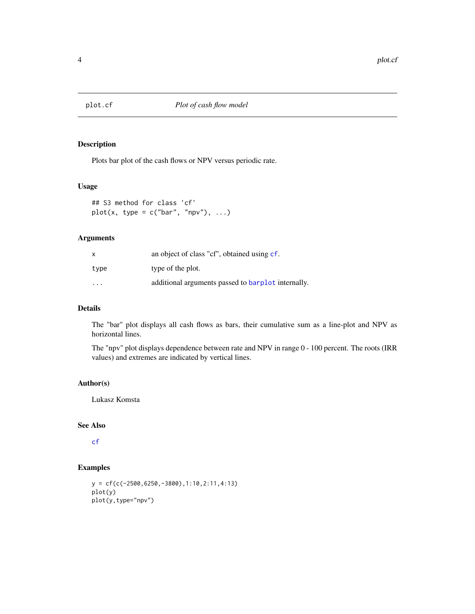<span id="page-3-0"></span>

Plots bar plot of the cash flows or NPV versus periodic rate.

#### Usage

```
## S3 method for class 'cf'
plot(x, type = c("bar", "npv"), ...)
```
#### Arguments

| x                       | an object of class "cf", obtained using cf.        |
|-------------------------|----------------------------------------------------|
| type                    | type of the plot.                                  |
| $\cdot$ $\cdot$ $\cdot$ | additional arguments passed to barplot internally. |

## Details

The "bar" plot displays all cash flows as bars, their cumulative sum as a line-plot and NPV as horizontal lines.

The "npv" plot displays dependence between rate and NPV in range 0 - 100 percent. The roots (IRR values) and extremes are indicated by vertical lines.

### Author(s)

Lukasz Komsta

#### See Also

[cf](#page-1-1)

#### Examples

```
y = cf(c(-2500,6250,-3800),1:10,2:11,4:13)
plot(y)
plot(y,type="npv")
```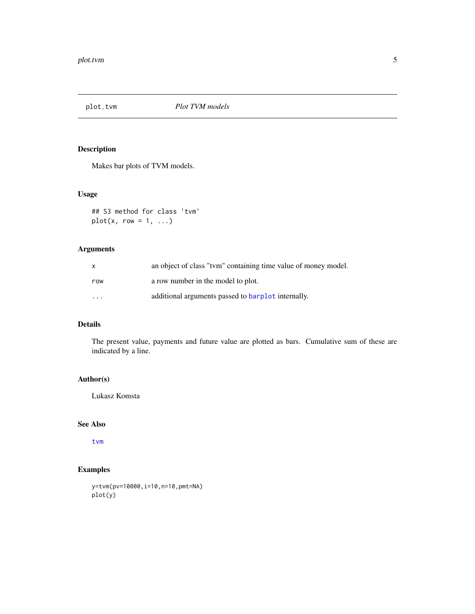<span id="page-4-0"></span>

Makes bar plots of TVM models.

#### Usage

```
## S3 method for class 'tvm'
plot(x, row = 1, ...)
```
#### Arguments

| X                       | an object of class "tym" containing time value of money model. |
|-------------------------|----------------------------------------------------------------|
| row                     | a row number in the model to plot.                             |
| $\cdot$ $\cdot$ $\cdot$ | additional arguments passed to barplot internally.             |

## Details

The present value, payments and future value are plotted as bars. Cumulative sum of these are indicated by a line.

#### Author(s)

Lukasz Komsta

#### See Also

[tvm](#page-7-1)

## Examples

```
y=tvm(pv=10000, i=10, n=10, pmt=NA)
plot(y)
```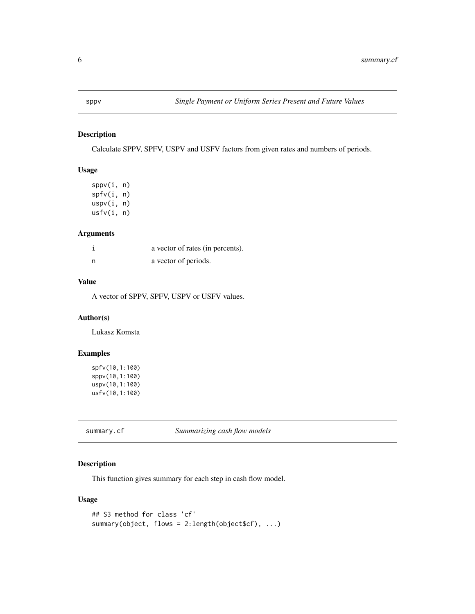<span id="page-5-0"></span>Calculate SPPV, SPFV, USPV and USFV factors from given rates and numbers of periods.

#### Usage

sppv(i, n) spfv(i, n) uspv(i, n) usfv(i, n)

#### Arguments

|     | a vector of rates (in percents). |
|-----|----------------------------------|
| - n | a vector of periods.             |

## Value

A vector of SPPV, SPFV, USPV or USFV values.

## Author(s)

Lukasz Komsta

#### Examples

```
spfv(10,1:100)
sppv(10,1:100)
uspv(10,1:100)
usfv(10,1:100)
```
<span id="page-5-1"></span>summary.cf *Summarizing cash flow models*

#### Description

This function gives summary for each step in cash flow model.

#### Usage

```
## S3 method for class 'cf'
summary(object, flows = 2:length(object$cf), ...)
```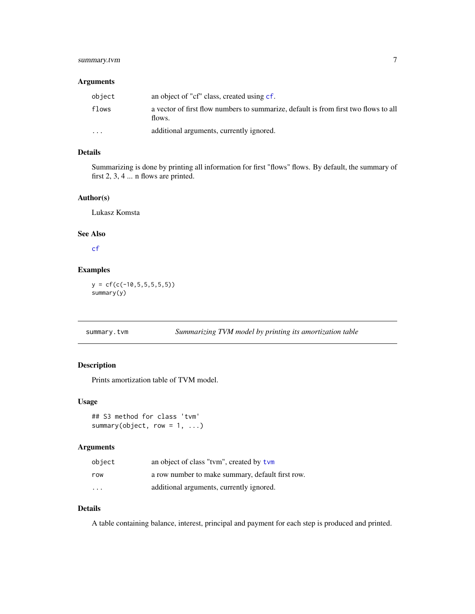## <span id="page-6-0"></span>summary.tvm 7

#### Arguments

| object   | an object of "cf" class, created using cf.                                                    |
|----------|-----------------------------------------------------------------------------------------------|
| flows    | a vector of first flow numbers to summarize, default is from first two flows to all<br>flows. |
| $\cdots$ | additional arguments, currently ignored.                                                      |

#### Details

Summarizing is done by printing all information for first "flows" flows. By default, the summary of first 2, 3, 4 ... n flows are printed.

#### Author(s)

Lukasz Komsta

#### See Also

[cf](#page-1-1)

#### Examples

 $y = cf(c(-10, 5, 5, 5, 5, 5))$ summary(y)

#### Description

Prints amortization table of TVM model.

#### Usage

```
## S3 method for class 'tvm'
summary(object, row = 1, ...)
```
#### Arguments

| object                  | an object of class "tym", created by tym         |
|-------------------------|--------------------------------------------------|
| row                     | a row number to make summary, default first row. |
| $\cdot$ $\cdot$ $\cdot$ | additional arguments, currently ignored.         |

## Details

A table containing balance, interest, principal and payment for each step is produced and printed.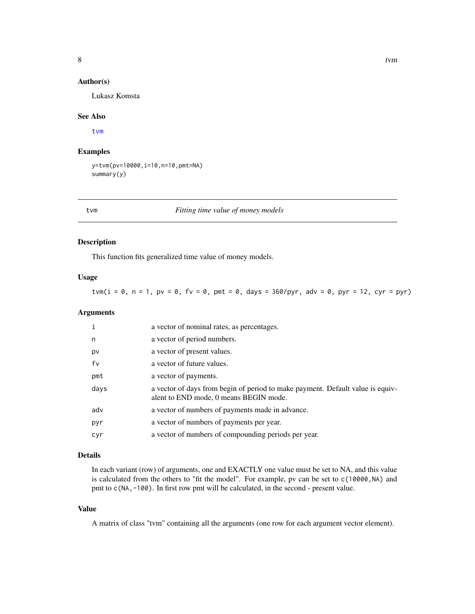#### <span id="page-7-0"></span>Author(s)

Lukasz Komsta

#### See Also

[tvm](#page-7-1)

#### Examples

y=tvm(pv=10000,i=10,n=10,pmt=NA) summary(y)

<span id="page-7-1"></span>tvm *Fitting time value of money models*

#### Description

This function fits generalized time value of money models.

#### Usage

tvm( $i = 0$ ,  $n = 1$ ,  $pv = 0$ ,  $fv = 0$ ,  $pmt = 0$ , days = 360/pyr, adv = 0, pyr = 12, cyr = pyr)

#### Arguments

| i    | a vector of nominal rates, as percentages.                                                                               |
|------|--------------------------------------------------------------------------------------------------------------------------|
| n    | a vector of period numbers.                                                                                              |
| pv   | a vector of present values.                                                                                              |
| fv   | a vector of future values.                                                                                               |
| pmt  | a vector of payments.                                                                                                    |
| days | a vector of days from begin of period to make payment. Default value is equiv-<br>alent to END mode, 0 means BEGIN mode. |
| adv  | a vector of numbers of payments made in advance.                                                                         |
| pyr  | a vector of numbers of payments per year.                                                                                |
| cyr  | a vector of numbers of compounding periods per year.                                                                     |

#### Details

In each variant (row) of arguments, one and EXACTLY one value must be set to NA, and this value is calculated from the others to "fit the model". For example, pv can be set to c(10000, NA) and pmt to c(NA,-100). In first row pmt will be calculated, in the second - present value.

### Value

A matrix of class "tvm" containing all the arguments (one row for each argument vector element).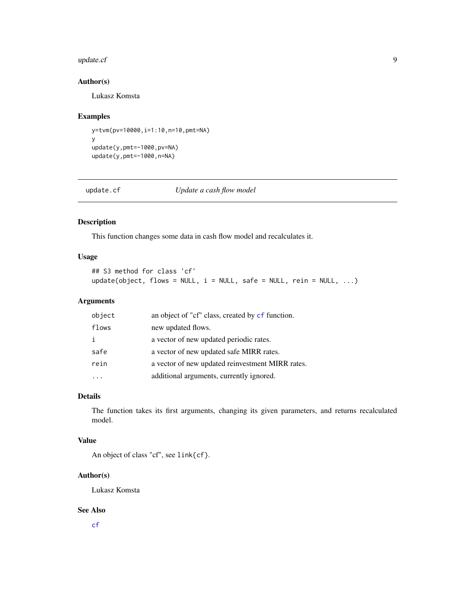#### <span id="page-8-0"></span>update.cf 9

#### Author(s)

Lukasz Komsta

#### Examples

```
y=tvm(pv=10000,i=1:10,n=10,pmt=NA)
y
update(y,pmt=-1000,pv=NA)
update(y,pmt=-1000,n=NA)
```
update.cf *Update a cash flow model*

## Description

This function changes some data in cash flow model and recalculates it.

### Usage

## S3 method for class 'cf'  $update(object, flows = NULL, i = NULL, safe = NULL, rein = NULL, ...)$ 

### Arguments

| object | an object of "cf" class, created by cf function. |
|--------|--------------------------------------------------|
| flows  | new updated flows.                               |
| i      | a vector of new updated periodic rates.          |
| safe   | a vector of new updated safe MIRR rates.         |
| rein   | a vector of new updated reinvestment MIRR rates. |
|        | additional arguments, currently ignored.         |

## Details

The function takes its first arguments, changing its given parameters, and returns recalculated model.

#### Value

An object of class "cf", see link{cf}.

#### Author(s)

Lukasz Komsta

#### See Also

[cf](#page-1-1)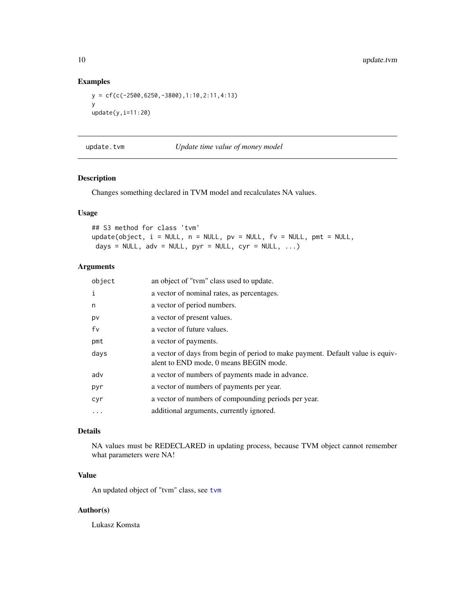#### Examples

```
y = cf(c(-2500,6250,-3800),1:10,2:11,4:13)
y
update(y,i=11:20)
```
update.tvm *Update time value of money model*

#### Description

Changes something declared in TVM model and recalculates NA values.

#### Usage

```
## S3 method for class 'tvm'
update(object, i = NULL, n = NULL, pv = NULL, fv = NULL, pmt = NULL,
days = NULL, adv = NULL, pyr = NULL, cyr = NULL, ...)
```
## Arguments

| object | an object of "tym" class used to update.                                                                                 |
|--------|--------------------------------------------------------------------------------------------------------------------------|
| i      | a vector of nominal rates, as percentages.                                                                               |
| n      | a vector of period numbers.                                                                                              |
| p٧     | a vector of present values.                                                                                              |
| fv     | a vector of future values.                                                                                               |
| pmt    | a vector of payments.                                                                                                    |
| days   | a vector of days from begin of period to make payment. Default value is equiv-<br>alent to END mode, 0 means BEGIN mode. |
| adv    | a vector of numbers of payments made in advance.                                                                         |
| pyr    | a vector of numbers of payments per year.                                                                                |
| cyr    | a vector of numbers of compounding periods per year.                                                                     |
| .      | additional arguments, currently ignored.                                                                                 |
|        |                                                                                                                          |

## Details

NA values must be REDECLARED in updating process, because TVM object cannot remember what parameters were NA!

## Value

An updated object of "tvm" class, see [tvm](#page-7-1)

#### Author(s)

Lukasz Komsta

<span id="page-9-0"></span>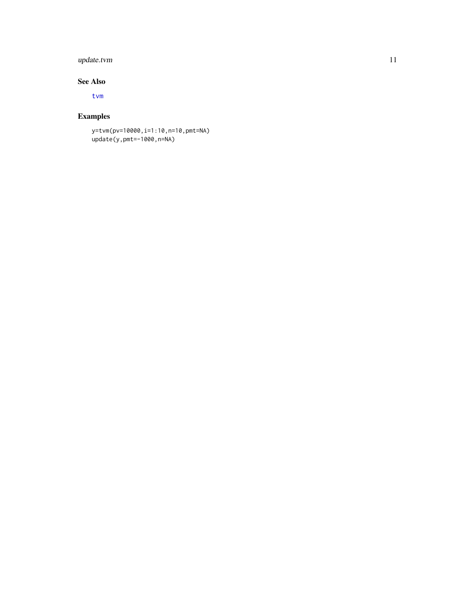## <span id="page-10-0"></span>update.tvm 11

#### See Also

[tvm](#page-7-1)

## Examples

y=tvm(pv=10000,i=1:10,n=10,pmt=NA) update(y,pmt=-1000,n=NA)